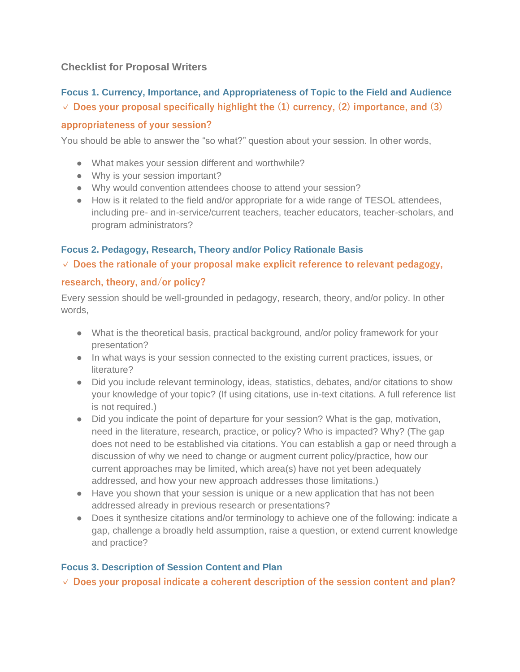## **Checklist for Proposal Writers**

# **Focus 1. Currency, Importance, and Appropriateness of Topic to the Field and Audience ✓ Does your proposal specifically highlight the (1) currency, (2) importance, and (3)**

#### **appropriateness of your session?**

You should be able to answer the "so what?" question about your session. In other words,

- What makes your session different and worthwhile?
- Why is your session important?
- Why would convention attendees choose to attend your session?
- How is it related to the field and/or appropriate for a wide range of TESOL attendees, including pre- and in-service/current teachers, teacher educators, teacher-scholars, and program administrators?

#### **Focus 2. Pedagogy, Research, Theory and/or Policy Rationale Basis**

#### **✓ Does the rationale of your proposal make explicit reference to relevant pedagogy,**

#### **research, theory, and/or policy?**

Every session should be well-grounded in pedagogy, research, theory, and/or policy. In other words,

- What is the theoretical basis, practical background, and/or policy framework for your presentation?
- In what ways is your session connected to the existing current practices, issues, or literature?
- Did you include relevant terminology, ideas, statistics, debates, and/or citations to show your knowledge of your topic? (If using citations, use in-text citations. A full reference list is not required.)
- Did you indicate the point of departure for your session? What is the gap, motivation, need in the literature, research, practice, or policy? Who is impacted? Why? (The gap does not need to be established via citations. You can establish a gap or need through a discussion of why we need to change or augment current policy/practice, how our current approaches may be limited, which area(s) have not yet been adequately addressed, and how your new approach addresses those limitations.)
- Have you shown that your session is unique or a new application that has not been addressed already in previous research or presentations?
- Does it synthesize citations and/or terminology to achieve one of the following: indicate a gap, challenge a broadly held assumption, raise a question, or extend current knowledge and practice?

## **Focus 3. Description of Session Content and Plan**

**✓ Does your proposal indicate a coherent description of the session content and plan?**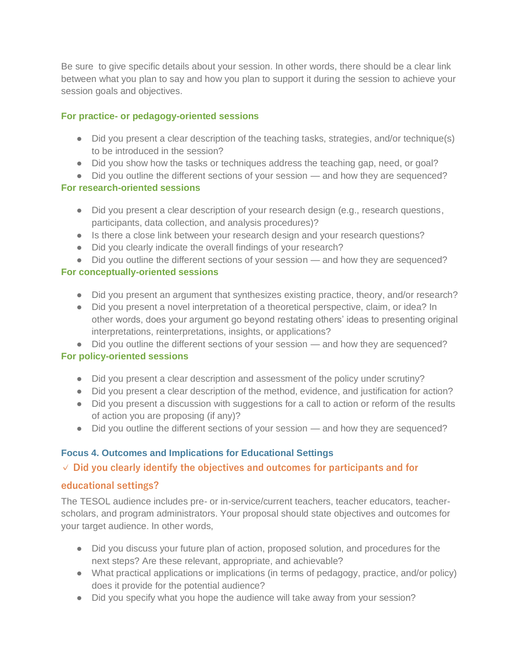Be sure to give specific details about your session. In other words, there should be a clear link between what you plan to say and how you plan to support it during the session to achieve your session goals and objectives.

#### **For practice- or pedagogy-oriented sessions**

- Did you present a clear description of the teaching tasks, strategies, and/or technique(s) to be introduced in the session?
- Did you show how the tasks or techniques address the teaching gap, need, or goal?
- Did you outline the different sections of your session and how they are sequenced?

#### **For research-oriented sessions**

- Did you present a clear description of your research design (e.g., research questions, participants, data collection, and analysis procedures)?
- Is there a close link between your research design and your research questions?
- Did you clearly indicate the overall findings of your research?
- Did you outline the different sections of your session and how they are sequenced?

## **For conceptually-oriented sessions**

- Did you present an argument that synthesizes existing practice, theory, and/or research?
- Did you present a novel interpretation of a theoretical perspective, claim, or idea? In other words, does your argument go beyond restating others' ideas to presenting original interpretations, reinterpretations, insights, or applications?
- Did you outline the different sections of your session and how they are sequenced?

## **For policy-oriented sessions**

- Did you present a clear description and assessment of the policy under scrutiny?
- Did you present a clear description of the method, evidence, and justification for action?
- Did you present a discussion with suggestions for a call to action or reform of the results of action you are proposing (if any)?
- Did you outline the different sections of your session and how they are sequenced?

# **Focus 4. Outcomes and Implications for Educational Settings**

# **✓ Did you clearly identify the objectives and outcomes for participants and for**

## **educational settings?**

The TESOL audience includes pre- or in-service/current teachers, teacher educators, teacherscholars, and program administrators. Your proposal should state objectives and outcomes for your target audience. In other words,

- Did you discuss your future plan of action, proposed solution, and procedures for the next steps? Are these relevant, appropriate, and achievable?
- What practical applications or implications (in terms of pedagogy, practice, and/or policy) does it provide for the potential audience?
- Did you specify what you hope the audience will take away from your session?